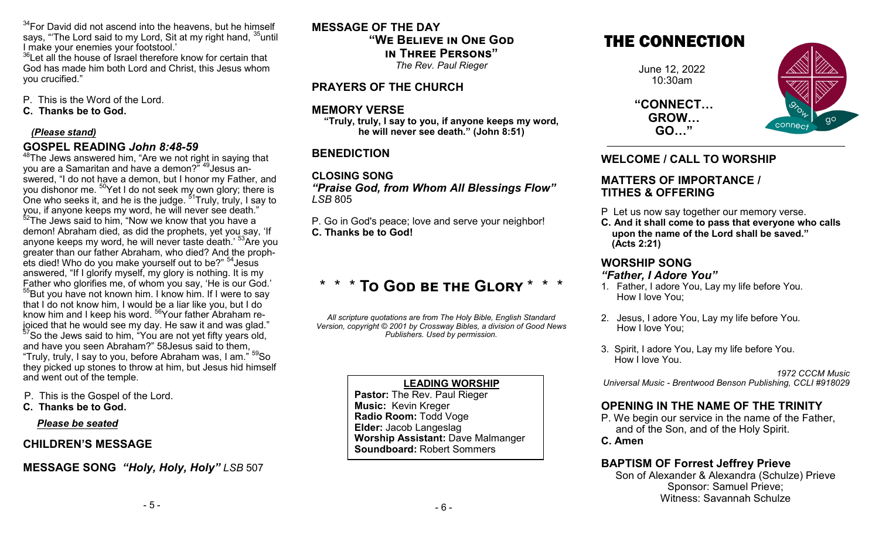$34$ For David did not ascend into the heavens, but he himself says, "The Lord said to my Lord, Sit at my right hand, <sup>35</sup>until I make your enemies your footstool.'

 $36$ Let all the house of Israel therefore know for certain that God has made him both Lord and Christ, this Jesus whom you crucified."

P. This is the Word of the Lord.

**C. Thanks be to God.**

#### *(Please stand)*

## **GOSPEL READING** *John 8:48-59*

 $48$ The Jews answered him, "Are we not right in saying that you are a Samaritan and have a demon?" <sup>49</sup>Jesus answered, "I do not have a demon, but I honor my Father, and you dishonor me.  $^{50}\!$ Yet I do not seek my own glory; there is One who seeks it, and he is the judge.  $^{51}$ Truly, truly, I say to  $\,$ you, if anyone keeps my word, he will never see death."  $52$ The Jews said to him, "Now we know that you have a demon! Abraham died, as did the prophets, yet you say, 'If anyone keeps my word, he will never taste death.<sup>'53</sup>Are you greater than our father Abraham, who died? And the prophets died! Who do you make yourself out to be?" <sup>54</sup>Jesus answered, "If I glorify myself, my glory is nothing. It is my Father who glorifies me, of whom you say, 'He is our God.' <sup>55</sup>But you have not known him. I know him. If I were to say that I do not know him, I would be a liar like you, but I do know him and I keep his word. <sup>56</sup>Your father Abraham rejoiced that he would see my day. He saw it and was glad." <sup>57</sup>So the Jews said to him, "You are not yet fifty years old, and have you seen Abraham?" 58Jesus said to them, "Truly, truly, I say to you, before Abraham was, I am." <sup>59</sup>So they picked up stones to throw at him, but Jesus hid himself and went out of the temple.

- P. This is the Gospel of the Lord.
- **C. Thanks be to God.**

#### *Please be seated*

# **CHILDREN'S MESSAGE**

# **MESSAGE SONG** *"Holy, Holy, Holy" LSB* 507

**MESSAGE OF THE DAY "We Believe in One God in Three Persons"**  *The Rev. Paul Rieger*

**PRAYERS OF THE CHURCH**

# **MEMORY VERSE**

**"Truly, truly, I say to you, if anyone keeps my word, he will never see death." (John 8:51)**

# **BENEDICTION**

**CLOSING SONG**  *"Praise God, from Whom All Blessings Flow" LSB* 805

P. Go in God's peace; love and serve your neighbor! **C. Thanks be to God!**

# \* \* \* **To God be the Glory** \* \* \*

*All scripture quotations are from The Holy Bible, English Standard Version, copyright © 2001 by Crossway Bibles, a division of Good News Publishers. Used by permission.*

#### **LEADING WORSHIP**

**Pastor:** The Rev. Paul Rieger **Music:** Kevin Kreger **Radio Room:** Todd Voge **Elder:** Jacob Langeslag **Worship Assistant:** Dave Malmanger **Soundboard:** Robert Sommers

# THE CONNECTION

June 12, 2022 10:30am

**"CONNECT… GROW… GO…"**



## **WELCOME / CALL TO WORSHIP**

#### **MATTERS OF IMPORTANCE / TITHES & OFFERING**

- P Let us now say together our memory verse.
- **C. And it shall come to pass that everyone who calls upon the name of the Lord shall be saved." (Acts 2:21)**

# **WORSHIP SONG**

#### *"Father, I Adore You"*

- 1. Father, I adore You, Lay my life before You. How I love You;
- 2. Jesus, I adore You, Lay my life before You. How I love You;
- 3. Spirit, I adore You, Lay my life before You. How I love You.

*1972 CCCM Music Universal Music - Brentwood Benson Publishing, CCLI #918029* 

# **OPENING IN THE NAME OF THE TRINITY**

P. We begin our service in the name of the Father, and of the Son, and of the Holy Spirit. **C. Amen**

#### **BAPTISM OF Forrest Jeffrey Prieve**

Son of Alexander & Alexandra (Schulze) Prieve Sponsor: Samuel Prieve; Witness: Savannah Schulze